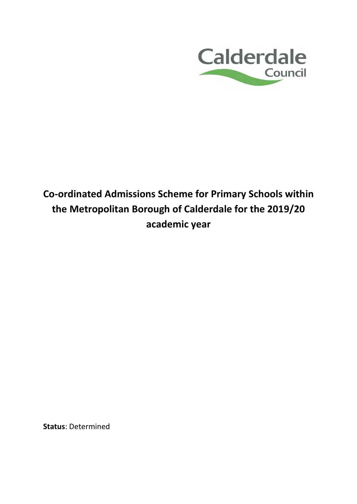

# **Co-ordinated Admissions Scheme for Primary Schools within the Metropolitan Borough of Calderdale for the 2019/20 academic year**

**Status**: Determined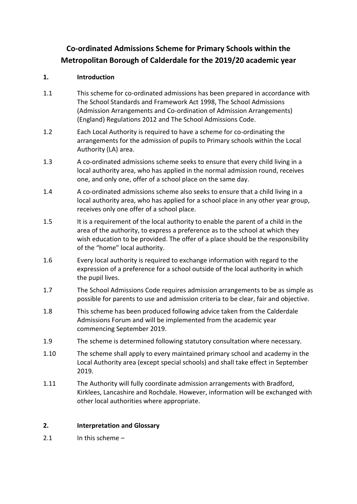# **Co-ordinated Admissions Scheme for Primary Schools within the Metropolitan Borough of Calderdale for the 2019/20 academic year**

# **1. Introduction**

- 1.1 This scheme for co-ordinated admissions has been prepared in accordance with The School Standards and Framework Act 1998, The School Admissions (Admission Arrangements and Co-ordination of Admission Arrangements) (England) Regulations 2012 and The School Admissions Code.
- 1.2 Each Local Authority is required to have a scheme for co-ordinating the arrangements for the admission of pupils to Primary schools within the Local Authority (LA) area.
- 1.3 A co-ordinated admissions scheme seeks to ensure that every child living in a local authority area, who has applied in the normal admission round, receives one, and only one, offer of a school place on the same day.
- 1.4 A co-ordinated admissions scheme also seeks to ensure that a child living in a local authority area, who has applied for a school place in any other year group, receives only one offer of a school place.
- 1.5 It is a requirement of the local authority to enable the parent of a child in the area of the authority, to express a preference as to the school at which they wish education to be provided. The offer of a place should be the responsibility of the "home" local authority.
- 1.6 Every local authority is required to exchange information with regard to the expression of a preference for a school outside of the local authority in which the pupil lives.
- 1.7 The School Admissions Code requires admission arrangements to be as simple as possible for parents to use and admission criteria to be clear, fair and objective.
- 1.8 This scheme has been produced following advice taken from the Calderdale Admissions Forum and will be implemented from the academic year commencing September 2019.
- 1.9 The scheme is determined following statutory consultation where necessary.
- 1.10 The scheme shall apply to every maintained primary school and academy in the Local Authority area (except special schools) and shall take effect in September 2019.
- 1.11 The Authority will fully coordinate admission arrangements with Bradford, Kirklees, Lancashire and Rochdale. However, information will be exchanged with other local authorities where appropriate.

# **2. Interpretation and Glossary**

2.1 In this scheme –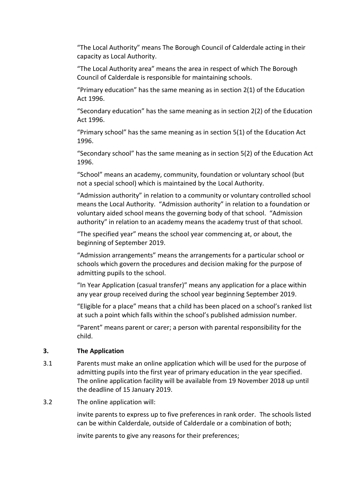"The Local Authority" means The Borough Council of Calderdale acting in their capacity as Local Authority.

"The Local Authority area" means the area in respect of which The Borough Council of Calderdale is responsible for maintaining schools.

"Primary education" has the same meaning as in section 2(1) of the Education Act 1996.

"Secondary education" has the same meaning as in section 2(2) of the Education Act 1996.

"Primary school" has the same meaning as in section 5(1) of the Education Act 1996.

"Secondary school" has the same meaning as in section 5(2) of the Education Act 1996.

"School" means an academy, community, foundation or voluntary school (but not a special school) which is maintained by the Local Authority.

"Admission authority" in relation to a community or voluntary controlled school means the Local Authority. "Admission authority" in relation to a foundation or voluntary aided school means the governing body of that school. "Admission authority" in relation to an academy means the academy trust of that school.

"The specified year" means the school year commencing at, or about, the beginning of September 2019.

"Admission arrangements" means the arrangements for a particular school or schools which govern the procedures and decision making for the purpose of admitting pupils to the school.

"In Year Application (casual transfer)" means any application for a place within any year group received during the school year beginning September 2019.

"Eligible for a place" means that a child has been placed on a school's ranked list at such a point which falls within the school's published admission number.

"Parent" means parent or carer; a person with parental responsibility for the child.

#### **3. The Application**

- 3.1 Parents must make an online application which will be used for the purpose of admitting pupils into the first year of primary education in the year specified. The online application facility will be available from 19 November 2018 up until the deadline of 15 January 2019.
- 3.2 The online application will:

 invite parents to express up to five preferences in rank order. The schools listed can be within Calderdale, outside of Calderdale or a combination of both;

invite parents to give any reasons for their preferences;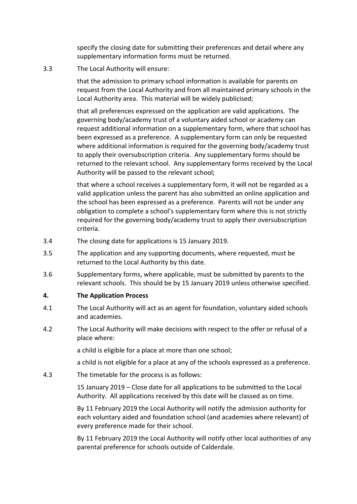specify the closing date for submitting their preferences and detail where any supplementary information forms must be returned.

3.3 The Local Authority will ensure:

 that the admission to primary school information is available for parents on request from the Local Authority and from all maintained primary schools in the Local Authority area. This material will be widely publicised;

 that all preferences expressed on the application are valid applications. The governing body/academy trust of a voluntary aided school or academy can request additional information on a supplementary form, where that school has been expressed as a preference. A supplementary form can only be requested where additional information is required for the governing body/academy trust to apply their oversubscription criteria. Any supplementary forms should be returned to the relevant school. Any supplementary forms received by the Local Authority will be passed to the relevant school;

 that where a school receives a supplementary form, it will not be regarded as a valid application unless the parent has also submitted an online application and the school has been expressed as a preference. Parents will not be under any obligation to complete a school's supplementary form where this is not strictly required for the governing body/academy trust to apply their oversubscription criteria.

- 3.4 The closing date for applications is 15 January 2019.
- 3.5 The application and any supporting documents, where requested, must be returned to the Local Authority by this date.
- 3.6 Supplementary forms, where applicable, must be submitted by parents to the relevant schools. This should be by 15 January 2019 unless otherwise specified.

#### **4. The Application Process**

- 4.1 The Local Authority will act as an agent for foundation, voluntary aided schools and academies.
- 4.2 The Local Authority will make decisions with respect to the offer or refusal of a place where:

a child is eligible for a place at more than one school;

a child is not eligible for a place at any of the schools expressed as a preference.

4.3 The timetable for the process is as follows:

15 January 2019 – Close date for all applications to be submitted to the Local Authority. All applications received by this date will be classed as on time.

By 11 February 2019 the Local Authority will notify the admission authority for each voluntary aided and foundation school (and academies where relevant) of every preference made for their school.

By 11 February 2019 the Local Authority will notify other local authorities of any parental preference for schools outside of Calderdale.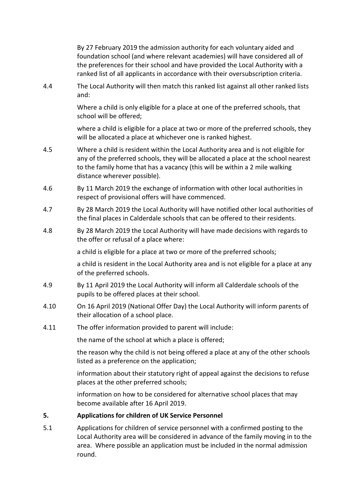By 27 February 2019 the admission authority for each voluntary aided and foundation school (and where relevant academies) will have considered all of the preferences for their school and have provided the Local Authority with a ranked list of all applicants in accordance with their oversubscription criteria.

4.4 The Local Authority will then match this ranked list against all other ranked lists and:

> Where a child is only eligible for a place at one of the preferred schools, that school will be offered;

where a child is eligible for a place at two or more of the preferred schools, they will be allocated a place at whichever one is ranked highest.

- 4.5 Where a child is resident within the Local Authority area and is not eligible for any of the preferred schools, they will be allocated a place at the school nearest to the family home that has a vacancy (this will be within a 2 mile walking distance wherever possible).
- 4.6 By 11 March 2019 the exchange of information with other local authorities in respect of provisional offers will have commenced.
- 4.7 By 28 March 2019 the Local Authority will have notified other local authorities of the final places in Calderdale schools that can be offered to their residents.
- 4.8 By 28 March 2019 the Local Authority will have made decisions with regards to the offer or refusal of a place where:

a child is eligible for a place at two or more of the preferred schools;

a child is resident in the Local Authority area and is not eligible for a place at any of the preferred schools.

- 4.9 By 11 April 2019 the Local Authority will inform all Calderdale schools of the pupils to be offered places at their school.
- 4.10 On 16 April 2019 (National Offer Day) the Local Authority will inform parents of their allocation of a school place.
- 4.11 The offer information provided to parent will include:

the name of the school at which a place is offered;

the reason why the child is not being offered a place at any of the other schools listed as a preference on the application;

information about their statutory right of appeal against the decisions to refuse places at the other preferred schools;

information on how to be considered for alternative school places that may become available after 16 April 2019.

# **5. Applications for children of UK Service Personnel**

5.1 Applications for children of service personnel with a confirmed posting to the Local Authority area will be considered in advance of the family moving in to the area. Where possible an application must be included in the normal admission round.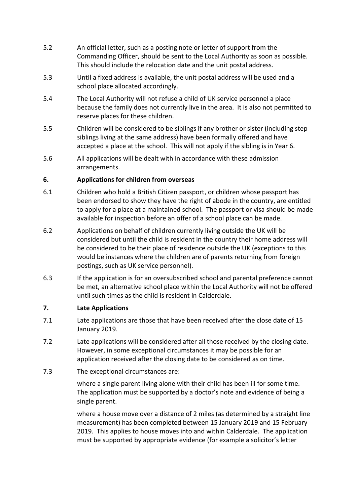- 5.2 An official letter, such as a posting note or letter of support from the Commanding Officer, should be sent to the Local Authority as soon as possible. This should include the relocation date and the unit postal address.
- 5.3 Until a fixed address is available, the unit postal address will be used and a school place allocated accordingly.
- 5.4 The Local Authority will not refuse a child of UK service personnel a place because the family does not currently live in the area. It is also not permitted to reserve places for these children.
- 5.5 Children will be considered to be siblings if any brother or sister (including step siblings living at the same address) have been formally offered and have accepted a place at the school. This will not apply if the sibling is in Year 6.
- 5.6 All applications will be dealt with in accordance with these admission arrangements.

#### **6. Applications for children from overseas**

- 6.1 Children who hold a British Citizen passport, or children whose passport has been endorsed to show they have the right of abode in the country, are entitled to apply for a place at a maintained school. The passport or visa should be made available for inspection before an offer of a school place can be made.
- 6.2 Applications on behalf of children currently living outside the UK will be considered but until the child is resident in the country their home address will be considered to be their place of residence outside the UK (exceptions to this would be instances where the children are of parents returning from foreign postings, such as UK service personnel).
- 6.3 If the application is for an oversubscribed school and parental preference cannot be met, an alternative school place within the Local Authority will not be offered until such times as the child is resident in Calderdale.

#### **7. Late Applications**

- 7.1 Late applications are those that have been received after the close date of 15 January 2019.
- 7.2 Late applications will be considered after all those received by the closing date. However, in some exceptional circumstances it may be possible for an application received after the closing date to be considered as on time.
- 7.3 The exceptional circumstances are:

 where a single parent living alone with their child has been ill for some time. The application must be supported by a doctor's note and evidence of being a single parent.

 where a house move over a distance of 2 miles (as determined by a straight line measurement) has been completed between 15 January 2019 and 15 February 2019. This applies to house moves into and within Calderdale. The application must be supported by appropriate evidence (for example a solicitor's letter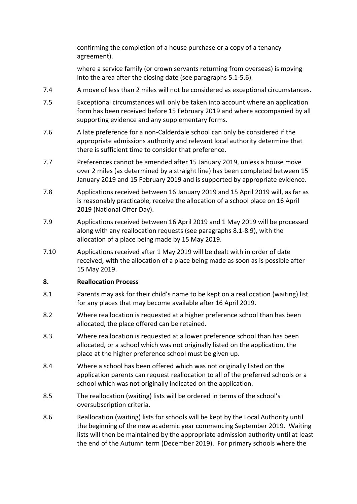confirming the completion of a house purchase or a copy of a tenancy agreement).

 where a service family (or crown servants returning from overseas) is moving into the area after the closing date (see paragraphs 5.1-5.6).

- 7.4 A move of less than 2 miles will not be considered as exceptional circumstances.
- 7.5 Exceptional circumstances will only be taken into account where an application form has been received before 15 February 2019 and where accompanied by all supporting evidence and any supplementary forms.
- 7.6 A late preference for a non-Calderdale school can only be considered if the appropriate admissions authority and relevant local authority determine that there is sufficient time to consider that preference.
- 7.7 Preferences cannot be amended after 15 January 2019, unless a house move over 2 miles (as determined by a straight line) has been completed between 15 January 2019 and 15 February 2019 and is supported by appropriate evidence.
- 7.8 Applications received between 16 January 2019 and 15 April 2019 will, as far as is reasonably practicable, receive the allocation of a school place on 16 April 2019 (National Offer Day).
- 7.9 Applications received between 16 April 2019 and 1 May 2019 will be processed along with any reallocation requests (see paragraphs 8.1-8.9), with the allocation of a place being made by 15 May 2019.
- 7.10 Applications received after 1 May 2019 will be dealt with in order of date received, with the allocation of a place being made as soon as is possible after 15 May 2019.

# **8. Reallocation Process**

- 8.1 Parents may ask for their child's name to be kept on a reallocation (waiting) list for any places that may become available after 16 April 2019.
- 8.2 Where reallocation is requested at a higher preference school than has been allocated, the place offered can be retained.
- 8.3 Where reallocation is requested at a lower preference school than has been allocated, or a school which was not originally listed on the application, the place at the higher preference school must be given up.
- 8.4 Where a school has been offered which was not originally listed on the application parents can request reallocation to all of the preferred schools or a school which was not originally indicated on the application.
- 8.5 The reallocation (waiting) lists will be ordered in terms of the school's oversubscription criteria.
- 8.6 Reallocation (waiting) lists for schools will be kept by the Local Authority until the beginning of the new academic year commencing September 2019. Waiting lists will then be maintained by the appropriate admission authority until at least the end of the Autumn term (December 2019). For primary schools where the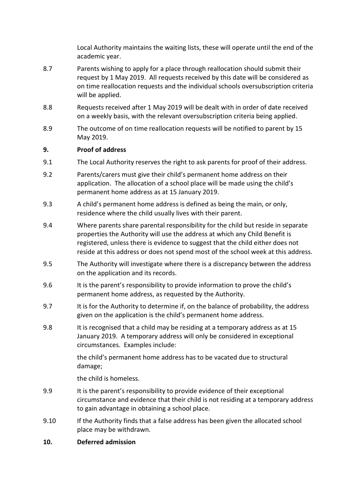Local Authority maintains the waiting lists, these will operate until the end of the academic year.

- 8.7 Parents wishing to apply for a place through reallocation should submit their request by 1 May 2019. All requests received by this date will be considered as on time reallocation requests and the individual schools oversubscription criteria will be applied.
- 8.8 Requests received after 1 May 2019 will be dealt with in order of date received on a weekly basis, with the relevant oversubscription criteria being applied.
- 8.9 The outcome of on time reallocation requests will be notified to parent by 15 May 2019.

#### **9. Proof of address**

- 9.1 The Local Authority reserves the right to ask parents for proof of their address.
- 9.2 Parents/carers must give their child's permanent home address on their application. The allocation of a school place will be made using the child's permanent home address as at 15 January 2019.
- 9.3 A child's permanent home address is defined as being the main, or only, residence where the child usually lives with their parent.
- 9.4 Where parents share parental responsibility for the child but reside in separate properties the Authority will use the address at which any Child Benefit is registered, unless there is evidence to suggest that the child either does not reside at this address or does not spend most of the school week at this address.
- 9.5 The Authority will investigate where there is a discrepancy between the address on the application and its records.
- 9.6 It is the parent's responsibility to provide information to prove the child's permanent home address, as requested by the Authority.
- 9.7 It is for the Authority to determine if, on the balance of probability, the address given on the application is the child's permanent home address.
- 9.8 It is recognised that a child may be residing at a temporary address as at 15 January 2019. A temporary address will only be considered in exceptional circumstances. Examples include:

the child's permanent home address has to be vacated due to structural damage;

the child is homeless.

- 9.9 It is the parent's responsibility to provide evidence of their exceptional circumstance and evidence that their child is not residing at a temporary address to gain advantage in obtaining a school place.
- 9.10 If the Authority finds that a false address has been given the allocated school place may be withdrawn.
- **10. Deferred admission**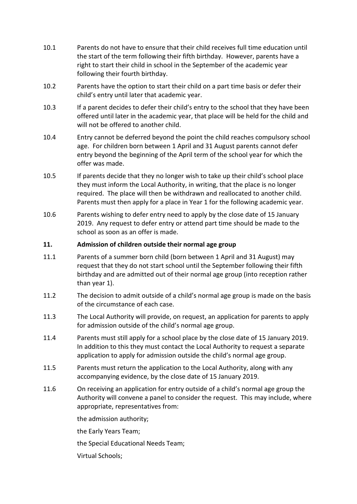- 10.1 Parents do not have to ensure that their child receives full time education until the start of the term following their fifth birthday. However, parents have a right to start their child in school in the September of the academic year following their fourth birthday.
- 10.2 Parents have the option to start their child on a part time basis or defer their child's entry until later that academic year.
- 10.3 If a parent decides to defer their child's entry to the school that they have been offered until later in the academic year, that place will be held for the child and will not be offered to another child.
- 10.4 Entry cannot be deferred beyond the point the child reaches compulsory school age. For children born between 1 April and 31 August parents cannot defer entry beyond the beginning of the April term of the school year for which the offer was made.
- 10.5 If parents decide that they no longer wish to take up their child's school place they must inform the Local Authority, in writing, that the place is no longer required. The place will then be withdrawn and reallocated to another child. Parents must then apply for a place in Year 1 for the following academic year.
- 10.6 Parents wishing to defer entry need to apply by the close date of 15 January 2019. Any request to defer entry or attend part time should be made to the school as soon as an offer is made.

#### **11. Admission of children outside their normal age group**

- 11.1 Parents of a summer born child (born between 1 April and 31 August) may request that they do not start school until the September following their fifth birthday and are admitted out of their normal age group (into reception rather than year 1).
- 11.2 The decision to admit outside of a child's normal age group is made on the basis of the circumstance of each case.
- 11.3 The Local Authority will provide, on request, an application for parents to apply for admission outside of the child's normal age group.
- 11.4 Parents must still apply for a school place by the close date of 15 January 2019. In addition to this they must contact the Local Authority to request a separate application to apply for admission outside the child's normal age group.
- 11.5 Parents must return the application to the Local Authority, along with any accompanying evidence, by the close date of 15 January 2019.
- 11.6 On receiving an application for entry outside of a child's normal age group the Authority will convene a panel to consider the request. This may include, where appropriate, representatives from:

the admission authority;

the Early Years Team;

the Special Educational Needs Team;

Virtual Schools;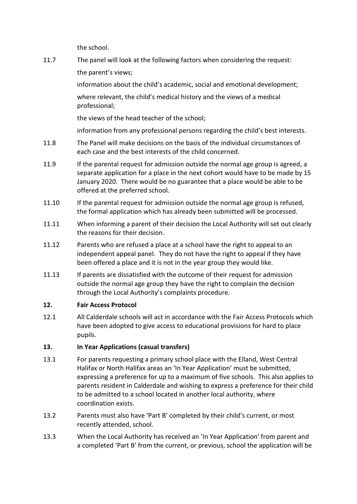the school.

11.7 The panel will look at the following factors when considering the request: the parent's views;

> information about the child's academic, social and emotional development; where relevant, the child's medical history and the views of a medical professional;

the views of the head teacher of the school;

information from any professional persons regarding the child's best interests.

- 11.8 The Panel will make decisions on the basis of the individual circumstances of each case and the best interests of the child concerned.
- 11.9 If the parental request for admission outside the normal age group is agreed, a separate application for a place in the next cohort would have to be made by 15 January 2020. There would be no guarantee that a place would be able to be offered at the preferred school.
- 11.10 If the parental request for admission outside the normal age group is refused, the formal application which has already been submitted will be processed.
- 11.11 When informing a parent of their decision the Local Authority will set out clearly the reasons for their decision.
- 11.12 Parents who are refused a place at a school have the right to appeal to an independent appeal panel. They do not have the right to appeal if they have been offered a place and it is not in the year group they would like.
- 11.13 If parents are dissatisfied with the outcome of their request for admission outside the normal age group they have the right to complain the decision through the Local Authority's complaints procedure.

# **12. Fair Access Protocol**

12.1 All Calderdale schools will act in accordance with the Fair Access Protocols which have been adopted to give access to educational provisions for hard to place pupils.

# **13. In Year Applications (casual transfers)**

- 13.1 For parents requesting a primary school place with the Elland, West Central Halifax or North Halifax areas an 'In Year Application' must be submitted, expressing a preference for up to a maximum of five schools. This also applies to parents resident in Calderdale and wishing to express a preference for their child to be admitted to a school located in another local authority, where coordination exists.
- 13.2 Parents must also have 'Part B' completed by their child's current, or most recently attended, school.
- 13.3 When the Local Authority has received an 'In Year Application' from parent and a completed 'Part B' from the current, or previous, school the application will be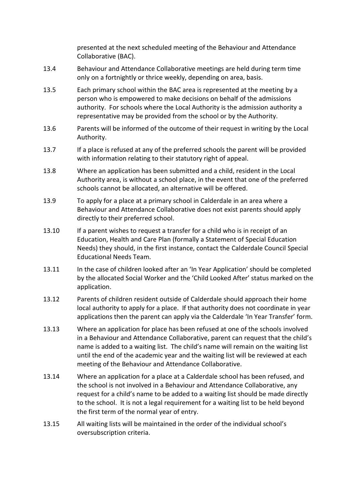presented at the next scheduled meeting of the Behaviour and Attendance Collaborative (BAC).

- 13.4 Behaviour and Attendance Collaborative meetings are held during term time only on a fortnightly or thrice weekly, depending on area, basis.
- 13.5 Each primary school within the BAC area is represented at the meeting by a person who is empowered to make decisions on behalf of the admissions authority. For schools where the Local Authority is the admission authority a representative may be provided from the school or by the Authority.
- 13.6 Parents will be informed of the outcome of their request in writing by the Local Authority.
- 13.7 If a place is refused at any of the preferred schools the parent will be provided with information relating to their statutory right of appeal.
- 13.8 Where an application has been submitted and a child, resident in the Local Authority area, is without a school place, in the event that one of the preferred schools cannot be allocated, an alternative will be offered.
- 13.9 To apply for a place at a primary school in Calderdale in an area where a Behaviour and Attendance Collaborative does not exist parents should apply directly to their preferred school.
- 13.10 If a parent wishes to request a transfer for a child who is in receipt of an Education, Health and Care Plan (formally a Statement of Special Education Needs) they should, in the first instance, contact the Calderdale Council Special Educational Needs Team.
- 13.11 In the case of children looked after an 'In Year Application' should be completed by the allocated Social Worker and the 'Child Looked After' status marked on the application.
- 13.12 Parents of children resident outside of Calderdale should approach their home local authority to apply for a place. If that authority does not coordinate in year applications then the parent can apply via the Calderdale 'In Year Transfer' form.
- 13.13 Where an application for place has been refused at one of the schools involved in a Behaviour and Attendance Collaborative, parent can request that the child's name is added to a waiting list. The child's name will remain on the waiting list until the end of the academic year and the waiting list will be reviewed at each meeting of the Behaviour and Attendance Collaborative.
- 13.14 Where an application for a place at a Calderdale school has been refused, and the school is not involved in a Behaviour and Attendance Collaborative, any request for a child's name to be added to a waiting list should be made directly to the school. It is not a legal requirement for a waiting list to be held beyond the first term of the normal year of entry.
- 13.15 All waiting lists will be maintained in the order of the individual school's oversubscription criteria.